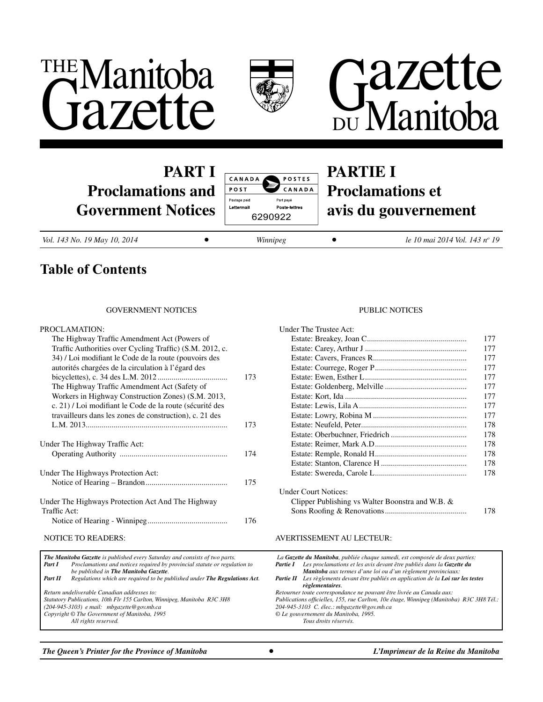





# **PART I Proclamations and Government Notices**



# **PARTIE I Proclamations et avis du gouvernement**

*Vol. 143 No. 19 May 10, 2014* ● *Winnipeg* ● *Winnipeg* ●

le 10 mai 2014 Vol. 143 nº 19

# **Table of Contents**

# government NOTICES

#### PROCLAMATION:

| The Highway Traffic Amendment Act (Powers of                 |     |
|--------------------------------------------------------------|-----|
| Traffic Authorities over Cycling Traffic) (S.M. 2012, c.     |     |
| 34) <i>/</i> Loi modifiant le Code de la route (pouvoirs des |     |
| autorités chargées de la circulation à l'égard des           |     |
|                                                              | 173 |
| The Highway Traffic Amendment Act (Safety of                 |     |
| Workers in Highway Construction Zones) (S.M. 2013,           |     |
| c. 21) / Loi modifiant le Code de la route (sécurité des     |     |
| travailleurs dans les zones de construction), c. 21 des      |     |
|                                                              | 173 |
|                                                              |     |
| Under The Highway Traffic Act:                               |     |
|                                                              | 174 |
|                                                              |     |
| Under The Highways Protection Act:                           |     |
|                                                              | 175 |
|                                                              |     |
| Under The Highways Protection Act And The Highway            |     |
| Traffic Act:                                                 |     |
|                                                              | 176 |

|                                                                          | <b>The Manitoba Gazette</b> is published every Saturday and consists of two parts. | La G   |  |  |  |
|--------------------------------------------------------------------------|------------------------------------------------------------------------------------|--------|--|--|--|
| Part I                                                                   | Proclamations and notices required by provincial statute or regulation to          | Partie |  |  |  |
|                                                                          | be published in The Manitoba Gazette.                                              |        |  |  |  |
| Part II                                                                  | Regulations which are required to be published under The Regulations Act.          | Partie |  |  |  |
|                                                                          |                                                                                    | Retou  |  |  |  |
| Return undeliverable Canadian addresses to:                              |                                                                                    |        |  |  |  |
| Statutory Publications, 10th Flr 155 Carlton, Winnipeg, Manitoba R3C 3H8 |                                                                                    |        |  |  |  |
| $(204-945-3103)$ e mail: mbgazette@gov.mb.ca                             |                                                                                    |        |  |  |  |
| Copyright © The Government of Manitoba, 1995                             |                                                                                    |        |  |  |  |
|                                                                          | All rights reserved.                                                               |        |  |  |  |
|                                                                          |                                                                                    |        |  |  |  |

#### PUBLIC NOTICES

| Under The Trustee Act:                           |     |
|--------------------------------------------------|-----|
|                                                  | 177 |
|                                                  | 177 |
|                                                  | 177 |
|                                                  | 177 |
|                                                  | 177 |
|                                                  | 177 |
|                                                  | 177 |
|                                                  | 177 |
|                                                  | 177 |
|                                                  | 178 |
|                                                  | 178 |
|                                                  | 178 |
|                                                  | 178 |
|                                                  | 178 |
|                                                  | 178 |
| Under Court Notices:                             |     |
| Clipper Publishing vs Walter Boonstra and W.B. & |     |
|                                                  | 178 |

#### NOTICE TO READERS: AVERTISSEMENT AU LECTEUR:

|          | La Gazette du Manitoba, publiée chaque samedi, est composée de deux parties:                                   |
|----------|----------------------------------------------------------------------------------------------------------------|
| Partie I | Les proclamations et les avis devant être publiés dans la Gazette du                                           |
|          | Manitoba aux termes d'une loi ou d'un règlement provinciaux:                                                   |
|          | <b>Partie II</b> Les règlements devant être publiés en application de la Loi sur les testes<br>règlementaires. |
|          | Retourner toute correspondance ne pouvant être livrée au Canada aux:                                           |
|          | Publications officielles, 155, rue Carlton, 10e étage, Winnipeg (Manitoba) R3C 3H8 Tél.:                       |
|          | 204-945-3103 C. élec.: mbgazette@gov.mb.ca                                                                     |
|          | © Le gouvernement du Manitoba, 1995.                                                                           |
|          | Tous droits réservés.                                                                                          |

**The Queen's Printer for the Province of Manitoba in Company <b>and Company** *L'Imprimeur de la Reine du Manitoba*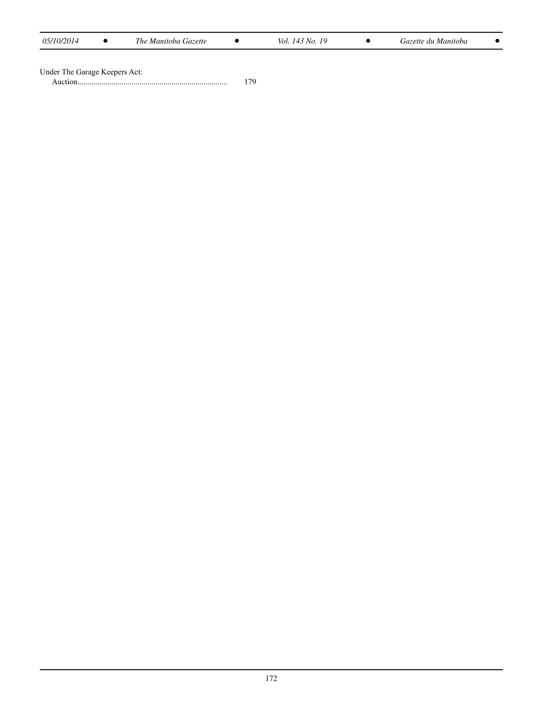| 05/10/2014 |  | The Manitoba Gazette |  | $143$ No.<br>Vol. |  | Gazette du Manitoba |  |
|------------|--|----------------------|--|-------------------|--|---------------------|--|
|------------|--|----------------------|--|-------------------|--|---------------------|--|

| Under The Garage Keepers Act: |
|-------------------------------|
|-------------------------------|

Auction........................................................................... 179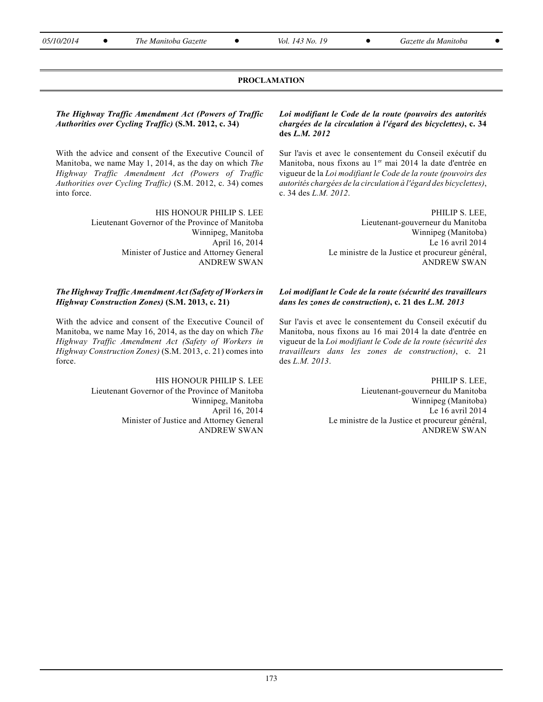**05/10/2014** ● The Manitoba Gazette ● Vol. 143 No. 19 ● Gazette du Manitoba ●

# **PROCLAMATION**

**The Highway Traffic Amendment Act (Powers of Traffic** Authorities over Cycling Traffic) (S.M. 2012, c. 34)

With the advice and consent of the Executive Council of Manitoba, we name May 1, 2014, as the day on which The Highway Traffic Amendment Act (Powers of Traffic Authorities over Cycling Traffic) (S.M. 2012, c. 34) comes into force.

> HIS HONOUR PHILIP S. LEE Lieutenant Governor of the Province of Manitoba Winnipeg, Manitoba April 16, 2014 Minister of Justice and Attorney General **ANDREW SWAN**

# The Highway Traffic Amendment Act (Safety of Workers in Highway Construction Zones) (S.M. 2013, c. 21)

With the advice and consent of the Executive Council of Manitoba, we name May 16, 2014, as the day on which The Highway Traffic Amendment Act (Safety of Workers in Highway Construction Zones) (S.M. 2013, c. 21) comes into force.

> HIS HONOUR PHILIP S. LEE Lieutenant Governor of the Province of Manitoba Winnipeg, Manitoba April 16, 2014 Minister of Justice and Attorney General **ANDREW SWAN**

Loi modifiant le Code de la route (pouvoirs des autorités chargées de la circulation à l'égard des bicyclettes), c. 34 des  $L.M. 2012$ 

Sur l'avis et avec le consentement du Conseil exécutif du Manitoba, nous fixons au 1<sup>er</sup> mai 2014 la date d'entrée en vigueur de la Loi modifiant le Code de la route (pouvoirs des autorités chargées de la circulation à l'égard des bicyclettes), c. 34 des L.M. 2012.

> PHILIP S. LEE. Lieutenant-gouverneur du Manitoba Winnipeg (Manitoba) Le 16 avril 2014 Le ministre de la Justice et procureur général, **ANDREW SWAN**

### Loi modifiant le Code de la route (sécurité des travailleurs dans les zones de construction), c. 21 des L.M. 2013

Sur l'avis et avec le consentement du Conseil exécutif du Manitoba, nous fixons au 16 mai 2014 la date d'entrée en vigueur de la Loi modifiant le Code de la route (sécurité des *travailleurs* dans les zones de construction), c. 21 des  $L.M. 2013$ .

> PHILIP S. LEE, Lieutenant-gouverneur du Manitoba Winnipeg (Manitoba) Le 16 avril 2014 Le ministre de la Justice et procureur général, **ANDREW SWAN**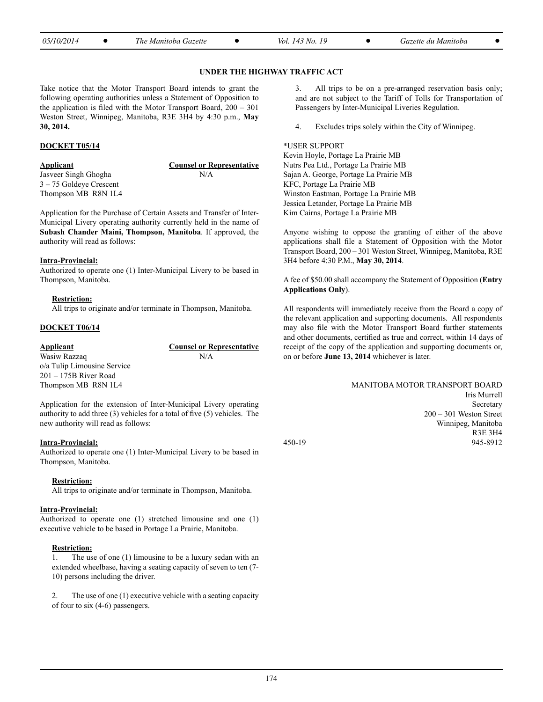| 05/10/2014<br>The Manitoba Gazette<br><i>Vol. 143 No. 1</i><br>Gazette du Manitoba |
|------------------------------------------------------------------------------------|
|------------------------------------------------------------------------------------|

### **UNDER THE HIGHWAY TRAFFIC ACT**

Take notice that the Motor Transport Board intends to grant the following operating authorities unless a Statement of Opposition to the application is filed with the Motor Transport Board, 200 – 301 Weston Street, Winnipeg, Manitoba, R3E 3H4 by 4:30 p.m., **May 30, 2014.**

# **DOCKET T05/14**

Jasveer Singh Ghogha N/A 3 – 75 Goldeye Crescent Thompson MB R8N 1L4

**Applicant Counsel or Representative**

Application for the Purchase of Certain Assets and Transfer of Inter-Municipal Livery operating authority currently held in the name of **Subash Chander Maini, Thompson, Manitoba**. If approved, the authority will read as follows:

#### **Intra-Provincial:**

Authorized to operate one (1) Inter-Municipal Livery to be based in Thompson, Manitoba.

#### **Restriction:**

All trips to originate and/or terminate in Thompson, Manitoba.

### **DOCKET T06/14**

| Applicant                   | <b>Counsel or Representative</b> |
|-----------------------------|----------------------------------|
| Wasiw Razzaq                | N/A                              |
| o/a Tulip Limousine Service |                                  |
| 201 – 175B River Road       |                                  |
| Thompson MB R8N 1L4         |                                  |

Application for the extension of Inter-Municipal Livery operating authority to add three (3) vehicles for a total of five (5) vehicles. The new authority will read as follows:

#### **Intra-Provincial:**

Authorized to operate one (1) Inter-Municipal Livery to be based in Thompson, Manitoba.

#### **Restriction:**

All trips to originate and/or terminate in Thompson, Manitoba.

#### **Intra-Provincial:**

Authorized to operate one (1) stretched limousine and one (1) executive vehicle to be based in Portage La Prairie, Manitoba.

#### **Restriction:**

1. The use of one (1) limousine to be a luxury sedan with an extended wheelbase, having a seating capacity of seven to ten (7- 10) persons including the driver.

2. The use of one (1) executive vehicle with a seating capacity of four to six (4-6) passengers.

3. All trips to be on a pre-arranged reservation basis only; and are not subject to the Tariff of Tolls for Transportation of Passengers by Inter-Municipal Liveries Regulation.

4. Excludes trips solely within the City of Winnipeg.

#### \*USER SUPPORT

Kevin Hoyle, Portage La Prairie MB Nutrs Pea Ltd., Portage La Prairie MB Sajan A. George, Portage La Prairie MB KFC, Portage La Prairie MB Winston Eastman, Portage La Prairie MB Jessica Letander, Portage La Prairie MB Kim Cairns, Portage La Prairie MB

Anyone wishing to oppose the granting of either of the above applications shall file a Statement of Opposition with the Motor Transport Board, 200 – 301 Weston Street, Winnipeg, Manitoba, R3E 3H4 before 4:30 P.M., **May 30, 2014**.

A fee of \$50.00 shall accompany the Statement of Opposition (**Entry Applications Only**).

All respondents will immediately receive from the Board a copy of the relevant application and supporting documents. All respondents may also file with the Motor Transport Board further statements and other documents, certified as true and correct, within 14 days of receipt of the copy of the application and supporting documents or, on or before **June 13, 2014** whichever is later.

|        | MANITOBA MOTOR TRANSPORT BOARD |
|--------|--------------------------------|
|        | Iris Murrell                   |
|        | Secretary                      |
|        | $200 - 301$ Weston Street      |
|        | Winnipeg, Manitoba             |
|        | <b>R3E 3H4</b>                 |
| 450-19 | 945-8912                       |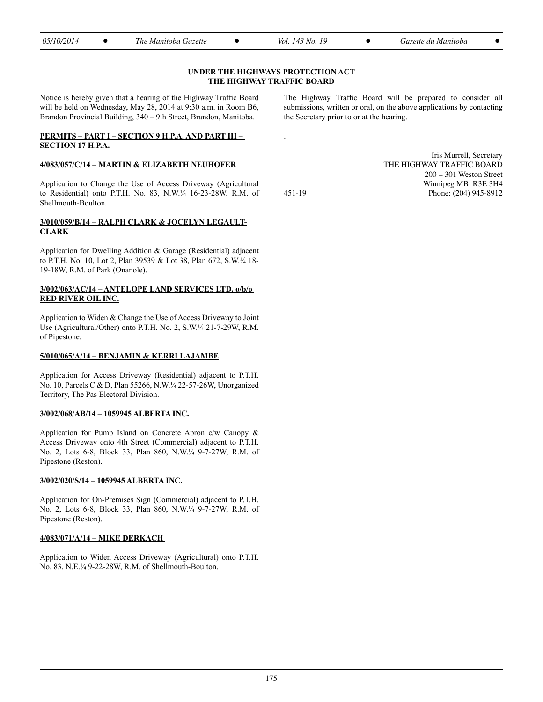| 05/10/2014 | m<br>Gazette<br>The Manitoba | 10<br>Vol.<br>$'$ 143 No. $\Box$ | Gazette du Manıtoba |  |
|------------|------------------------------|----------------------------------|---------------------|--|
|            |                              |                                  |                     |  |

# **UNDER THE HIGHWAYS PROTECTION ACT THE HIGHWAY TRAFFIC BOARD**

Notice is hereby given that a hearing of the Highway Traffic Board will be held on Wednesday, May 28, 2014 at 9:30 a.m. in Room B6, Brandon Provincial Building, 340 – 9th Street, Brandon, Manitoba.

# **PERMITS – PART I – SECTION 9 H.P.A. AND PART III – SECTION 17 H.P.A.**

# **4/083/057/C/14 – MARTIN & ELIZABETH NEUHOFER**

Application to Change the Use of Access Driveway (Agricultural to Residential) onto P.T.H. No. 83, N.W.¼ 16-23-28W, R.M. of Shellmouth-Boulton.

# **3/010/059/B/14 – RALPH CLARK & JOCELYN LEGAULT-CLARK**

Application for Dwelling Addition & Garage (Residential) adjacent to P.T.H. No. 10, Lot 2, Plan 39539 & Lot 38, Plan 672, S.W.¼ 18- 19-18W, R.M. of Park (Onanole).

## **3/002/063/AC/14 – ANTELOPE LAND SERVICES LTD. o/b/o RED RIVER OIL INC.**

Application to Widen & Change the Use of Access Driveway to Joint Use (Agricultural/Other) onto P.T.H. No. 2, S.W.¼ 21-7-29W, R.M. of Pipestone.

# **5/010/065/A/14 – BENJAMIN & KERRI LAJAMBE**

Application for Access Driveway (Residential) adjacent to P.T.H. No. 10, Parcels C & D, Plan 55266, N.W.¼ 22-57-26W, Unorganized Territory, The Pas Electoral Division.

# **3/002/068/AB/14 – 1059945 ALBERTA INC.**

Application for Pump Island on Concrete Apron c/w Canopy & Access Driveway onto 4th Street (Commercial) adjacent to P.T.H. No. 2, Lots 6-8, Block 33, Plan 860, N.W.¼ 9-7-27W, R.M. of Pipestone (Reston).

# **3/002/020/S/14 – 1059945 ALBERTA INC.**

Application for On-Premises Sign (Commercial) adjacent to P.T.H. No. 2, Lots 6-8, Block 33, Plan 860, N.W.¼ 9-7-27W, R.M. of Pipestone (Reston).

# **4/083/071/A/14 – MIKE DERKACH**

Application to Widen Access Driveway (Agricultural) onto P.T.H. No. 83, N.E.¼ 9-22-28W, R.M. of Shellmouth-Boulton.

The Highway Traffic Board will be prepared to consider all submissions, written or oral, on the above applications by contacting the Secretary prior to or at the hearing.

Iris Murrell, Secretary THE HIGHWAY TRAFFIC BOARD 200 – 301 Weston Street Winnipeg MB R3E 3H4 451-19 Phone: (204) 945-8912

.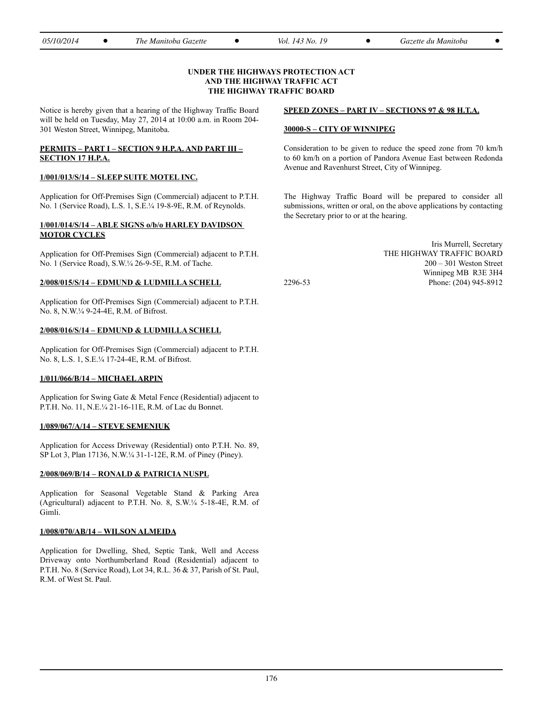| 05/10/2014 | The Manitoba Gazette | Vol.<br>$'$ 143 No. $\Box$ | Gazette du Manitoba |  |
|------------|----------------------|----------------------------|---------------------|--|
|            |                      |                            |                     |  |

#### **UNDER THE HIGHWAYS PROTECTION ACT AND THE HIGHWAY TRAFFIC ACT THE HIGHWAY TRAFFIC BOARD**

Notice is hereby given that a hearing of the Highway Traffic Board will be held on Tuesday, May 27, 2014 at 10:00 a.m. in Room 204- 301 Weston Street, Winnipeg, Manitoba.

# **PERMITS – PART I – SECTION 9 H.P.A. AND PART III – SECTION 17 H.P.A.**

# **1/001/013/S/14 – SLEEP SUITE MOTEL INC.**

Application for Off-Premises Sign (Commercial) adjacent to P.T.H. No. 1 (Service Road), L.S. 1, S.E.¼ 19-8-9E, R.M. of Reynolds.

# **1/001/014/S/14 – ABLE SIGNS o/b/o HARLEY DAVIDSON MOTOR CYCLES**

Application for Off-Premises Sign (Commercial) adjacent to P.T.H. No. 1 (Service Road), S.W.¼ 26-9-5E, R.M. of Tache.

#### **2/008/015/S/14 – EDMUND & LUDMILLA SCHELL**

Application for Off-Premises Sign (Commercial) adjacent to P.T.H. No. 8, N.W.¼ 9-24-4E, R.M. of Bifrost.

#### **2/008/016/S/14 – EDMUND & LUDMILLA SCHELL**

Application for Off-Premises Sign (Commercial) adjacent to P.T.H. No. 8, L.S. 1, S.E.¼ 17-24-4E, R.M. of Bifrost.

# **1/011/066/B/14 – MICHAEL ARPIN**

Application for Swing Gate & Metal Fence (Residential) adjacent to P.T.H. No. 11, N.E.¼ 21-16-11E, R.M. of Lac du Bonnet.

# **1/089/067/A/14 – STEVE SEMENIUK**

Application for Access Driveway (Residential) onto P.T.H. No. 89, SP Lot 3, Plan 17136, N.W.¼ 31-1-12E, R.M. of Piney (Piney).

#### **2/008/069/B/14 – RONALD & PATRICIA NUSPL**

Application for Seasonal Vegetable Stand & Parking Area (Agricultural) adjacent to P.T.H. No. 8, S.W.¼ 5-18-4E, R.M. of Gimli.

# **1/008/070/AB/14 – WILSON ALMEIDA**

Application for Dwelling, Shed, Septic Tank, Well and Access Driveway onto Northumberland Road (Residential) adjacent to P.T.H. No. 8 (Service Road), Lot 34, R.L. 36 & 37, Parish of St. Paul, R.M. of West St. Paul.

#### **SPEED ZONES – PART IV – SECTIONS 97 & 98 H.T.A.**

#### **30000-S – CITY OF WINNIPEG**

Consideration to be given to reduce the speed zone from 70 km/h to 60 km/h on a portion of Pandora Avenue East between Redonda Avenue and Ravenhurst Street, City of Winnipeg.

The Highway Traffic Board will be prepared to consider all submissions, written or oral, on the above applications by contacting the Secretary prior to or at the hearing.

2296-53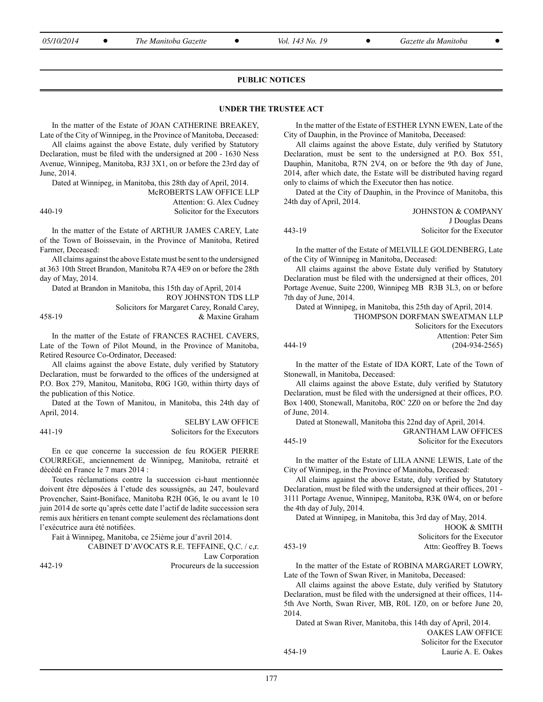|--|--|--|--|

*05/10/2014* <sup>l</sup> *The Manitoba Gazette* <sup>l</sup> *Vol. 143 No. 19* <sup>l</sup> *Gazette du Manitoba* <sup>l</sup>

#### **PUBLIC NOTICES**

#### **UNDER THE TRUSTEE ACT**

In the matter of the Estate of JOAN CATHERINE BREAKEY, Late of the City of Winnipeg, in the Province of Manitoba, Deceased:

All claims against the above Estate, duly verified by Statutory Declaration, must be filed with the undersigned at 200 - 1630 Ness Avenue, Winnipeg, Manitoba, R3J 3X1, on or before the 23rd day of June, 2014.

Dated at Winnipeg, in Manitoba, this 28th day of April, 2014.

McROBERTS LAW OFFICE LLP Attention: G. Alex Cudney

SELBY LAW OFFICE

440-19 Solicitor for the Executors

In the matter of the Estate of ARTHUR JAMES CAREY, Late of the Town of Boissevain, in the Province of Manitoba, Retired Farmer, Deceased:

All claims against the above Estate must be sent to the undersigned at 363 10th Street Brandon, Manitoba R7A 4E9 on or before the 28th day of May, 2014.

Dated at Brandon in Manitoba, this 15th day of April, 2014 ROY JOHNSTON TDS LLP Solicitors for Margaret Carey, Ronald Carey, 458-19 & Maxine Graham

In the matter of the Estate of FRANCES RACHEL CAVERS, Late of the Town of Pilot Mound, in the Province of Manitoba, Retired Resource Co-Ordinator, Deceased:

All claims against the above Estate, duly verified by Statutory Declaration, must be forwarded to the offices of the undersigned at P.O. Box 279, Manitou, Manitoba, R0G 1G0, within thirty days of the publication of this Notice.

Dated at the Town of Manitou, in Manitoba, this 24th day of April, 2014.

|        | SELBY LAW OFFICE             |
|--------|------------------------------|
| 441-19 | Solicitors for the Executors |

En ce que concerne la succession de feu ROGER PIERRE COURREGE, anciennement de Winnipeg, Manitoba, retraité et décédé en France le 7 mars 2014 :

Toutes réclamations contre la succession ci-haut mentionnée doivent être déposées à l'etude des soussignés, au 247, boulevard Provencher, Saint-Boniface, Manitoba R2H 0G6, le ou avant le 10 juin 2014 de sorte qu'après cette date l'actif de ladite succession sera remis aux héritiers en tenant compte seulement des réclamations dont l'exécutrice aura été notifiées.

Fait à Winnipeg, Manitoba, ce 25ième jour d'avril 2014.

|        | CABINET D'AVOCATS R.E. TEFFAINE, Q.C. / c.r. |
|--------|----------------------------------------------|
|        | Law Corporation                              |
| 442-19 | Procureurs de la succession                  |

In the matter of the Estate of ESTHER LYNN EWEN, Late of the City of Dauphin, in the Province of Manitoba, Deceased:

All claims against the above Estate, duly verified by Statutory Declaration, must be sent to the undersigned at P.O. Box 551, Dauphin, Manitoba, R7N 2V4, on or before the 9th day of June, 2014, after which date, the Estate will be distributed having regard only to claims of which the Executor then has notice.

Dated at the City of Dauphin, in the Province of Manitoba, this 24th day of April, 2014. JOHNSTON & COMPANY

| JOHNSTON & COMPANY         |
|----------------------------|
| J Douglas Deans            |
| Solicitor for the Executor |
|                            |

In the matter of the Estate of MELVILLE GOLDENBERG, Late of the City of Winnipeg in Manitoba, Deceased:

All claims against the above Estate duly verified by Statutory Declaration must be filed with the undersigned at their offices, 201 Portage Avenue, Suite 2200, Winnipeg MB R3B 3L3, on or before 7th day of June, 2014.

|        | Dated at Winnipeg, in Manitoba, this 25th day of April, 2014. |
|--------|---------------------------------------------------------------|
|        | THOMPSON DORFMAN SWEATMAN LLP                                 |
|        | Solicitors for the Executors                                  |
|        | Attention: Peter Sim                                          |
| 444-19 | $(204-934-2565)$                                              |

In the matter of the Estate of IDA KORT, Late of the Town of Stonewall, in Manitoba, Deceased:

All claims against the above Estate, duly verified by Statutory Declaration, must be filed with the undersigned at their offices, P.O. Box 1400, Stonewall, Manitoba, R0C 2Z0 on or before the 2nd day of June, 2014.

Dated at Stonewall, Manitoba this 22nd day of April, 2014. GRANTHAM LAW OFFICES

| 445-19 | Solicitor for the Executors |
|--------|-----------------------------|
|        |                             |

In the matter of the Estate of LILA ANNE LEWIS, Late of the City of Winnipeg, in the Province of Manitoba, Deceased:

All claims against the above Estate, duly verified by Statutory Declaration, must be filed with the undersigned at their offices, 201 - 3111 Portage Avenue, Winnipeg, Manitoba, R3K 0W4, on or before the 4th day of July, 2014.

Dated at Winnipeg, in Manitoba, this 3rd day of May, 2014.

|        | <b>HOOK &amp; SMITH</b>     |
|--------|-----------------------------|
|        | Solicitors for the Executor |
| 453-19 | Attn: Geoffrey B. Toews     |

In the matter of the Estate of ROBINA MARGARET LOWRY, Late of the Town of Swan River, in Manitoba, Deceased:

All claims against the above Estate, duly verified by Statutory Declaration, must be filed with the undersigned at their offices, 114- 5th Ave North, Swan River, MB, R0L 1Z0, on or before June 20, 2014.

Dated at Swan River, Manitoba, this 14th day of April, 2014.

|        |  | <b>OAKES LAW OFFICE</b>    |
|--------|--|----------------------------|
|        |  | Solicitor for the Executor |
| 454-19 |  | Laurie A. E. Oakes         |
|        |  |                            |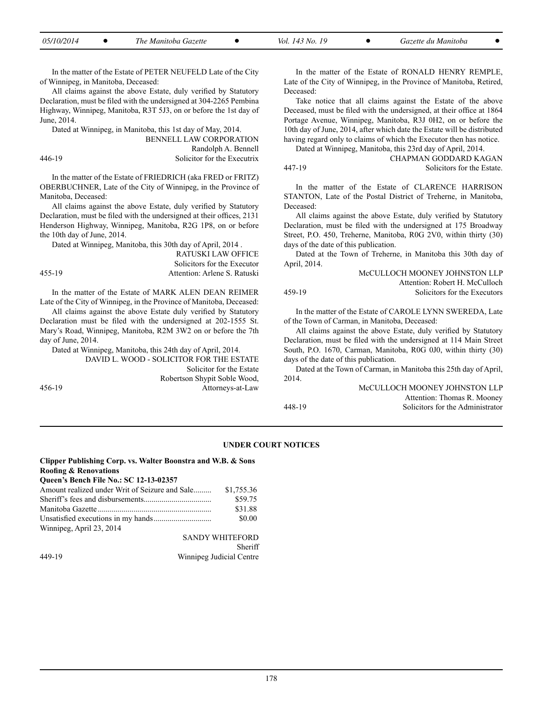| <i>05/10/2014</i><br>The Manitoba Gazette |  | Vol. 143 No. 19 |  | Gazette du Manitoba |  |
|-------------------------------------------|--|-----------------|--|---------------------|--|
|-------------------------------------------|--|-----------------|--|---------------------|--|

In the matter of the Estate of PETER NEUFELD Late of the City of Winnipeg, in Manitoba, Deceased:

All claims against the above Estate, duly verified by Statutory Declaration, must be filed with the undersigned at 304-2265 Pembina Highway, Winnipeg, Manitoba, R3T 5J3, on or before the 1st day of June, 2014.

Dated at Winnipeg, in Manitoba, this 1st day of May, 2014. BENNELL LAW CORPORATION Randolph A. Bennell 446-19 Solicitor for the Executrix

In the matter of the Estate of FRIEDRICH (aka FRED or FRITZ) OBERBUCHNER, Late of the City of Winnipeg, in the Province of Manitoba, Deceased:

All claims against the above Estate, duly verified by Statutory Declaration, must be filed with the undersigned at their offices, 2131 Henderson Highway, Winnipeg, Manitoba, R2G 1P8, on or before the 10th day of June, 2014.

Dated at Winnipeg, Manitoba, this 30th day of April, 2014 .

RATUSKI LAW OFFICE Solicitors for the Executor 455-19 Attention: Arlene S. Ratuski

In the matter of the Estate of MARK ALEN DEAN REIMER Late of the City of Winnipeg, in the Province of Manitoba, Deceased:

All claims against the above Estate duly verified by Statutory Declaration must be filed with the undersigned at 202-1555 St. Mary's Road, Winnipeg, Manitoba, R2M 3W2 on or before the 7th day of June, 2014.

Dated at Winnipeg, Manitoba, this 24th day of April, 2014. David L. Wood - Solicitor for the Estate Solicitor for the Estate Robertson Shypit Soble Wood, 456-19 Attorneys-at-Law

In the matter of the Estate of RONALD HENRY REMPLE, Late of the City of Winnipeg, in the Province of Manitoba, Retired, Deceased:

Take notice that all claims against the Estate of the above Deceased, must be filed with the undersigned, at their office at 1864 Portage Avenue, Winnipeg, Manitoba, R3J 0H2, on or before the 10th day of June, 2014, after which date the Estate will be distributed having regard only to claims of which the Executor then has notice.

Dated at Winnipeg, Manitoba, this 23rd day of April, 2014. CHAPMAN GODDARD KAGAN

447-19 Solicitors for the Estate.

In the matter of the Estate of CLARENCE HARRISON STANTON, Late of the Postal District of Treherne, in Manitoba, Deceased:

All claims against the above Estate, duly verified by Statutory Declaration, must be filed with the undersigned at 175 Broadway Street, P.O. 450, Treherne, Manitoba, R0G 2V0, within thirty (30) days of the date of this publication.

Dated at the Town of Treherne, in Manitoba this 30th day of April, 2014.

#### McCULLOCH MOONEY JOHNSTON LLP Attention: Robert H. McCulloch 459-19 Solicitors for the Executors

In the matter of the Estate of CAROLE LYNN SWEREDA, Late of the Town of Carman, in Manitoba, Deceased:

All claims against the above Estate, duly verified by Statutory Declaration, must be filed with the undersigned at 114 Main Street South, P.O. 1670, Carman, Manitoba, R0G 0J0, within thirty (30) days of the date of this publication.

Dated at the Town of Carman, in Manitoba this 25th day of April, 2014.

McCULLOCH MOONEY JOHNSTON LLP Attention: Thomas R. Mooney 448-19 Solicitors for the Administrator

#### **UNDER COURT NOTICES**

#### **Clipper Publishing Corp. vs. Walter Boonstra and W.B. & Sons Roofing & Renovations Queen's Bench File No.: SC 12-13-02357**

| Amount realized under Writ of Seizure and Sale | \$1.755.36 |
|------------------------------------------------|------------|
|                                                | \$59.75    |
|                                                | \$31.88    |
|                                                | \$0.00     |
| Winnipeg, April 23, 2014                       |            |

SANDY WHITEFORD Sheriff 449-19 Winnipeg Judicial Centre